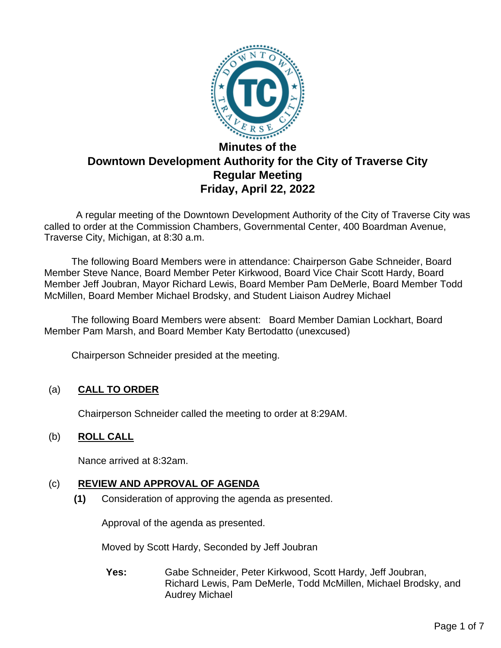

# **Downtown Development Authority for the City of Traverse City Regular Meeting Friday, April 22, 2022**

A regular meeting of the Downtown Development Authority of the City of Traverse City was called to order at the Commission Chambers, Governmental Center, 400 Boardman Avenue, Traverse City, Michigan, at 8:30 a.m.

The following Board Members were in attendance: Chairperson Gabe Schneider, Board Member Steve Nance, Board Member Peter Kirkwood, Board Vice Chair Scott Hardy, Board Member Jeff Joubran, Mayor Richard Lewis, Board Member Pam DeMerle, Board Member Todd McMillen, Board Member Michael Brodsky, and Student Liaison Audrey Michael

 The following Board Members were absent: Board Member Damian Lockhart, Board Member Pam Marsh, and Board Member Katy Bertodatto (unexcused)

Chairperson Schneider presided at the meeting.

# (a) **CALL TO ORDER**

Chairperson Schneider called the meeting to order at 8:29AM.

# (b) **ROLL CALL**

Nance arrived at 8:32am.

# (c) **REVIEW AND APPROVAL OF AGENDA**

**(1)** Consideration of approving the agenda as presented.

Approval of the agenda as presented.

Moved by Scott Hardy, Seconded by Jeff Joubran

**Yes:** Gabe Schneider, Peter Kirkwood, Scott Hardy, Jeff Joubran, Richard Lewis, Pam DeMerle, Todd McMillen, Michael Brodsky, and Audrey Michael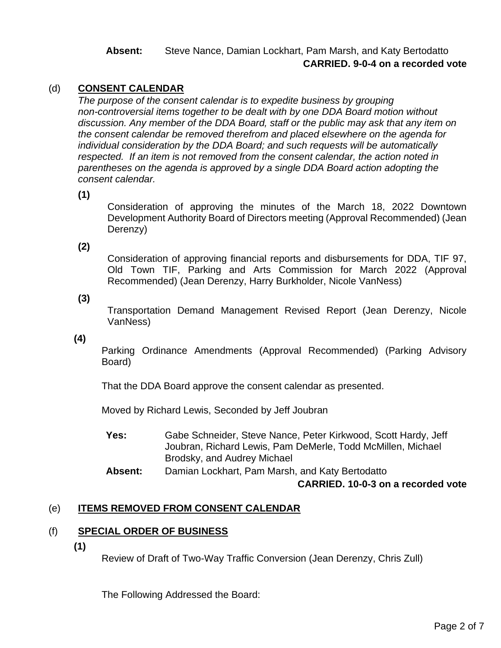# **Absent:** Steve Nance, Damian Lockhart, Pam Marsh, and Katy Bertodatto **CARRIED. 9-0-4 on a recorded vote**

# (d) **CONSENT CALENDAR**

*The purpose of the consent calendar is to expedite business by grouping non-controversial items together to be dealt with by one DDA Board motion without discussion. Any member of the DDA Board, staff or the public may ask that any item on the consent calendar be removed therefrom and placed elsewhere on the agenda for individual consideration by the DDA Board; and such requests will be automatically respected. If an item is not removed from the consent calendar, the action noted in parentheses on the agenda is approved by a single DDA Board action adopting the consent calendar.*

**(1)**

Consideration of approving the minutes of the March 18, 2022 Downtown Development Authority Board of Directors meeting (Approval Recommended) (Jean Derenzy)

**(2)**

Consideration of approving financial reports and disbursements for DDA, TIF 97, Old Town TIF, Parking and Arts Commission for March 2022 (Approval Recommended) (Jean Derenzy, Harry Burkholder, Nicole VanNess)

**(3)**

Transportation Demand Management Revised Report (Jean Derenzy, Nicole VanNess)

**(4)**

Parking Ordinance Amendments (Approval Recommended) (Parking Advisory Board)

That the DDA Board approve the consent calendar as presented.

Moved by Richard Lewis, Seconded by Jeff Joubran

**Yes:** Gabe Schneider, Steve Nance, Peter Kirkwood, Scott Hardy, Jeff Joubran, Richard Lewis, Pam DeMerle, Todd McMillen, Michael Brodsky, and Audrey Michael

**Absent:** Damian Lockhart, Pam Marsh, and Katy Bertodatto

**CARRIED. 10-0-3 on a recorded vote**

#### (e) **ITEMS REMOVED FROM CONSENT CALENDAR**

#### (f) **SPECIAL ORDER OF BUSINESS**

**(1)**

Review of Draft of Two-Way Traffic Conversion (Jean Derenzy, Chris Zull)

The Following Addressed the Board: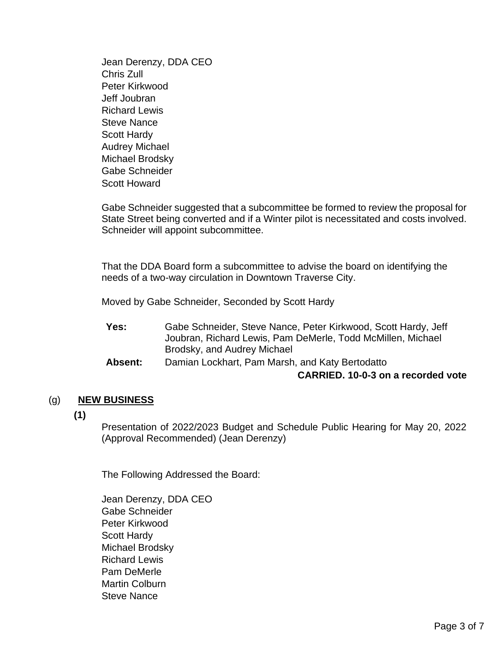Jean Derenzy, DDA CEO Chris Zull Peter Kirkwood Jeff Joubran Richard Lewis Steve Nance Scott Hardy Audrey Michael Michael Brodsky Gabe Schneider Scott Howard

Gabe Schneider suggested that a subcommittee be formed to review the proposal for State Street being converted and if a Winter pilot is necessitated and costs involved. Schneider will appoint subcommittee.

That the DDA Board form a subcommittee to advise the board on identifying the needs of a two-way circulation in Downtown Traverse City.

Moved by Gabe Schneider, Seconded by Scott Hardy

| Yes:           | Gabe Schneider, Steve Nance, Peter Kirkwood, Scott Hardy, Jeff |
|----------------|----------------------------------------------------------------|
|                | Joubran, Richard Lewis, Pam DeMerle, Todd McMillen, Michael    |
|                | Brodsky, and Audrey Michael                                    |
| <b>Absent:</b> | Damian Lockhart, Pam Marsh, and Katy Bertodatto                |

#### **CARRIED. 10-0-3 on a recorded vote**

#### (g) **NEW BUSINESS**

**(1)**

Presentation of 2022/2023 Budget and Schedule Public Hearing for May 20, 2022 (Approval Recommended) (Jean Derenzy)

The Following Addressed the Board:

Jean Derenzy, DDA CEO Gabe Schneider Peter Kirkwood Scott Hardy Michael Brodsky Richard Lewis Pam DeMerle Martin Colburn Steve Nance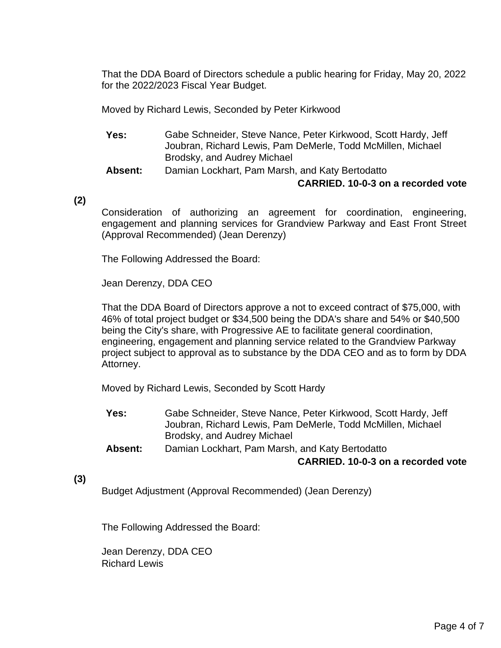That the DDA Board of Directors schedule a public hearing for Friday, May 20, 2022 for the 2022/2023 Fiscal Year Budget.

Moved by Richard Lewis, Seconded by Peter Kirkwood

- **Yes:** Gabe Schneider, Steve Nance, Peter Kirkwood, Scott Hardy, Jeff Joubran, Richard Lewis, Pam DeMerle, Todd McMillen, Michael Brodsky, and Audrey Michael
- **Absent:** Damian Lockhart, Pam Marsh, and Katy Bertodatto

#### **CARRIED. 10-0-3 on a recorded vote**

**(2)**

Consideration of authorizing an agreement for coordination, engineering, engagement and planning services for Grandview Parkway and East Front Street (Approval Recommended) (Jean Derenzy)

The Following Addressed the Board:

Jean Derenzy, DDA CEO

That the DDA Board of Directors approve a not to exceed contract of \$75,000, with 46% of total project budget or \$34,500 being the DDA's share and 54% or \$40,500 being the City's share, with Progressive AE to facilitate general coordination, engineering, engagement and planning service related to the Grandview Parkway project subject to approval as to substance by the DDA CEO and as to form by DDA Attorney.

Moved by Richard Lewis, Seconded by Scott Hardy

- **Yes:** Gabe Schneider, Steve Nance, Peter Kirkwood, Scott Hardy, Jeff Joubran, Richard Lewis, Pam DeMerle, Todd McMillen, Michael Brodsky, and Audrey Michael
- **Absent:** Damian Lockhart, Pam Marsh, and Katy Bertodatto **CARRIED. 10-0-3 on a recorded vote**
- **(3)**

Budget Adjustment (Approval Recommended) (Jean Derenzy)

The Following Addressed the Board:

Jean Derenzy, DDA CEO Richard Lewis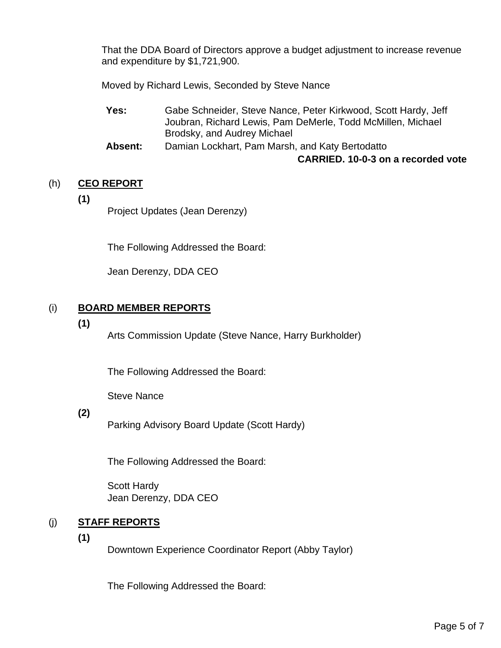That the DDA Board of Directors approve a budget adjustment to increase revenue and expenditure by \$1,721,900.

Moved by Richard Lewis, Seconded by Steve Nance

- **Yes:** Gabe Schneider, Steve Nance, Peter Kirkwood, Scott Hardy, Jeff Joubran, Richard Lewis, Pam DeMerle, Todd McMillen, Michael Brodsky, and Audrey Michael
- **Absent:** Damian Lockhart, Pam Marsh, and Katy Bertodatto **CARRIED. 10-0-3 on a recorded vote**

# (h) **CEO REPORT**

**(1)**

Project Updates (Jean Derenzy)

The Following Addressed the Board:

Jean Derenzy, DDA CEO

# (i) **BOARD MEMBER REPORTS**

**(1)**

Arts Commission Update (Steve Nance, Harry Burkholder)

The Following Addressed the Board:

Steve Nance

# **(2)**

Parking Advisory Board Update (Scott Hardy)

The Following Addressed the Board:

Scott Hardy Jean Derenzy, DDA CEO

# (j) **STAFF REPORTS**

**(1)**

Downtown Experience Coordinator Report (Abby Taylor)

The Following Addressed the Board: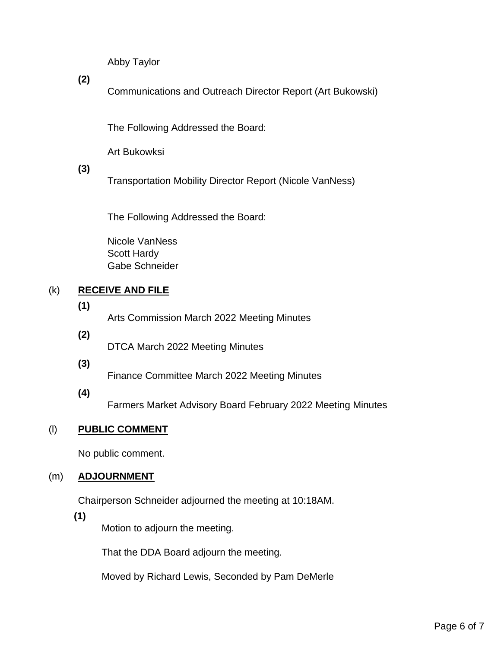Abby Taylor

**(2)**

Communications and Outreach Director Report (Art Bukowski)

The Following Addressed the Board:

Art Bukowksi

**(3)**

Transportation Mobility Director Report (Nicole VanNess)

The Following Addressed the Board:

Nicole VanNess Scott Hardy Gabe Schneider

# (k) **RECEIVE AND FILE**

# **(1)**

Arts Commission March 2022 Meeting Minutes

- **(2)** DTCA March 2022 Meeting Minutes
- **(3)**

Finance Committee March 2022 Meeting Minutes

**(4)**

Farmers Market Advisory Board February 2022 Meeting Minutes

# (l) **PUBLIC COMMENT**

No public comment.

# (m) **ADJOURNMENT**

Chairperson Schneider adjourned the meeting at 10:18AM.

# **(1)**

Motion to adjourn the meeting.

That the DDA Board adjourn the meeting.

Moved by Richard Lewis, Seconded by Pam DeMerle